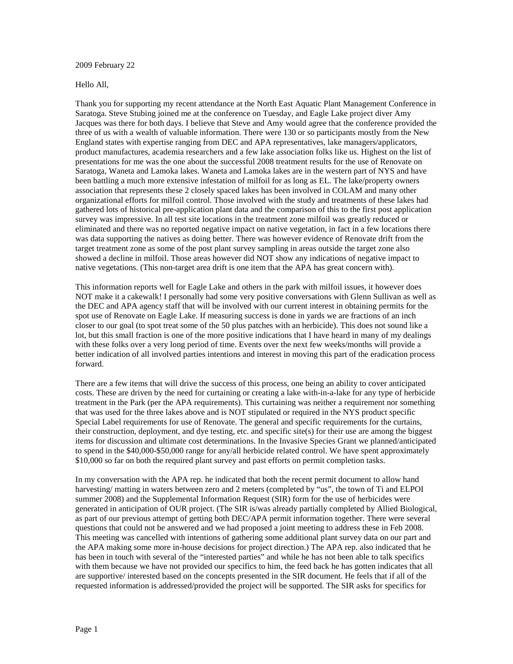## 2009 February 22

## Hello All,

Thank you for supporting my recent attendance at the North East Aquatic Plant Management Conference in Saratoga. Steve Stubing joined me at the conference on Tuesday, and Eagle Lake project diver Amy Jacques was there for both days. I believe that Steve and Amy would agree that the conference provided the three of us with a wealth of valuable information. There were 130 or so participants mostly from the New England states with expertise ranging from DEC and APA representatives, lake managers/applicators, product manufactures, academia researchers and a few lake association folks like us. Highest on the list of presentations for me was the one about the successful 2008 treatment results for the use of Renovate on Saratoga, Waneta and Lamoka lakes. Waneta and Lamoka lakes are in the western part of NYS and have been battling a much more extensive infestation of milfoil for as long as EL. The lake/property owners association that represents these 2 closely spaced lakes has been involved in COLAM and many other organizational efforts for milfoil control. Those involved with the study and treatments of these lakes had gathered lots of historical pre-application plant data and the comparison of this to the first post application survey was impressive. In all test site locations in the treatment zone milfoil was greatly reduced or eliminated and there was no reported negative impact on native vegetation, in fact in a few locations there was data supporting the natives as doing better. There was however evidence of Renovate drift from the target treatment zone as some of the post plant survey sampling in areas outside the target zone also showed a decline in milfoil. Those areas however did NOT show any indications of negative impact to native vegetations. (This non-target area drift is one item that the APA has great concern with).

This information reports well for Eagle Lake and others in the park with milfoil issues, it however does NOT make it a cakewalk! I personally had some very positive conversations with Glenn Sullivan as well as the DEC and APA agency staff that will be involved with our current interest in obtaining permits for the spot use of Renovate on Eagle Lake. If measuring success is done in yards we are fractions of an inch closer to our goal (to spot treat some of the 50 plus patches with an herbicide). This does not sound like a lot, but this small fraction is one of the more positive indications that I have heard in many of my dealings with these folks over a very long period of time. Events over the next few weeks/months will provide a better indication of all involved parties intentions and interest in moving this part of the eradication process forward.

There are a few items that will drive the success of this process, one being an ability to cover anticipated costs. These are driven by the need for curtaining or creating a lake with-in-a-lake for any type of herbicide treatment in the Park (per the APA requirements). This curtaining was neither a requirement nor something that was used for the three lakes above and is NOT stipulated or required in the NYS product specific Special Label requirements for use of Renovate. The general and specific requirements for the curtains, their construction, deployment, and dye testing, etc. and specific site(s) for their use are among the biggest items for discussion and ultimate cost determinations. In the Invasive Species Grant we planned/anticipated to spend in the \$40,000-\$50,000 range for any/all herbicide related control. We have spent approximately \$10,000 so far on both the required plant survey and past efforts on permit completion tasks.

In my conversation with the APA rep. he indicated that both the recent permit document to allow hand harvesting/ matting in waters between zero and 2 meters (completed by "us", the town of Ti and ELPOI summer 2008) and the Supplemental Information Request (SIR) form for the use of herbicides were generated in anticipation of OUR project. (The SIR is/was already partially completed by Allied Biological, as part of our previous attempt of getting both DEC/APA permit information together. There were several questions that could not be answered and we had proposed a joint meeting to address these in Feb 2008. This meeting was cancelled with intentions of gathering some additional plant survey data on our part and the APA making some more in-house decisions for project direction.) The APA rep. also indicated that he has been in touch with several of the "interested parties" and while he has not been able to talk specifics with them because we have not provided our specifics to him, the feed back he has gotten indicates that all are supportive/ interested based on the concepts presented in the SIR document. He feels that if all of the requested information is addressed/provided the project will be supported. The SIR asks for specifics for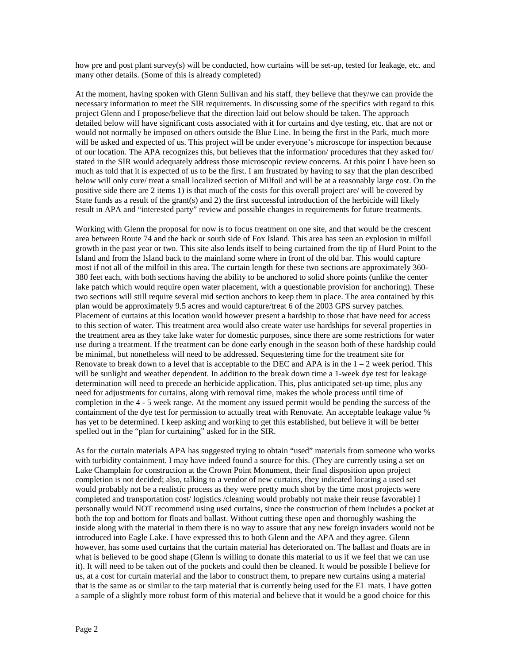how pre and post plant survey(s) will be conducted, how curtains will be set-up, tested for leakage, etc. and many other details. (Some of this is already completed)

At the moment, having spoken with Glenn Sullivan and his staff, they believe that they/we can provide the necessary information to meet the SIR requirements. In discussing some of the specifics with regard to this project Glenn and I propose/believe that the direction laid out below should be taken. The approach detailed below will have significant costs associated with it for curtains and dye testing, etc. that are not or would not normally be imposed on others outside the Blue Line. In being the first in the Park, much more will be asked and expected of us. This project will be under everyone's microscope for inspection because of our location. The APA recognizes this, but believes that the information/ procedures that they asked for/ stated in the SIR would adequately address those microscopic review concerns. At this point I have been so much as told that it is expected of us to be the first. I am frustrated by having to say that the plan described below will only cure/ treat a small localized section of Milfoil and will be at a reasonably large cost. On the positive side there are 2 items 1) is that much of the costs for this overall project are/ will be covered by State funds as a result of the grant(s) and 2) the first successful introduction of the herbicide will likely result in APA and "interested party" review and possible changes in requirements for future treatments.

Working with Glenn the proposal for now is to focus treatment on one site, and that would be the crescent area between Route 74 and the back or south side of Fox Island. This area has seen an explosion in milfoil growth in the past year or two. This site also lends itself to being curtained from the tip of Hurd Point to the Island and from the Island back to the mainland some where in front of the old bar. This would capture most if not all of the milfoil in this area. The curtain length for these two sections are approximately 360- 380 feet each, with both sections having the ability to be anchored to solid shore points (unlike the center lake patch which would require open water placement, with a questionable provision for anchoring). These two sections will still require several mid section anchors to keep them in place. The area contained by this plan would be approximately 9.5 acres and would capture/treat 6 of the 2003 GPS survey patches. Placement of curtains at this location would however present a hardship to those that have need for access to this section of water. This treatment area would also create water use hardships for several properties in the treatment area as they take lake water for domestic purposes, since there are some restrictions for water use during a treatment. If the treatment can be done early enough in the season both of these hardship could be minimal, but nonetheless will need to be addressed. Sequestering time for the treatment site for Renovate to break down to a level that is acceptable to the DEC and APA is in the  $1 - 2$  week period. This will be sunlight and weather dependent. In addition to the break down time a 1-week dye test for leakage determination will need to precede an herbicide application. This, plus anticipated set-up time, plus any need for adjustments for curtains, along with removal time, makes the whole process until time of completion in the 4 - 5 week range. At the moment any issued permit would be pending the success of the containment of the dye test for permission to actually treat with Renovate. An acceptable leakage value % has yet to be determined. I keep asking and working to get this established, but believe it will be better spelled out in the "plan for curtaining" asked for in the SIR.

As for the curtain materials APA has suggested trying to obtain "used" materials from someone who works with turbidity containment. I may have indeed found a source for this. (They are currently using a set on Lake Champlain for construction at the Crown Point Monument, their final disposition upon project completion is not decided; also, talking to a vendor of new curtains, they indicated locating a used set would probably not be a realistic process as they were pretty much shot by the time most projects were completed and transportation cost/ logistics /cleaning would probably not make their reuse favorable) I personally would NOT recommend using used curtains, since the construction of them includes a pocket at both the top and bottom for floats and ballast. Without cutting these open and thoroughly washing the inside along with the material in them there is no way to assure that any new foreign invaders would not be introduced into Eagle Lake. I have expressed this to both Glenn and the APA and they agree. Glenn however, has some used curtains that the curtain material has deteriorated on. The ballast and floats are in what is believed to be good shape (Glenn is willing to donate this material to us if we feel that we can use it). It will need to be taken out of the pockets and could then be cleaned. It would be possible I believe for us, at a cost for curtain material and the labor to construct them, to prepare new curtains using a material that is the same as or similar to the tarp material that is currently being used for the EL mats. I have gotten a sample of a slightly more robust form of this material and believe that it would be a good choice for this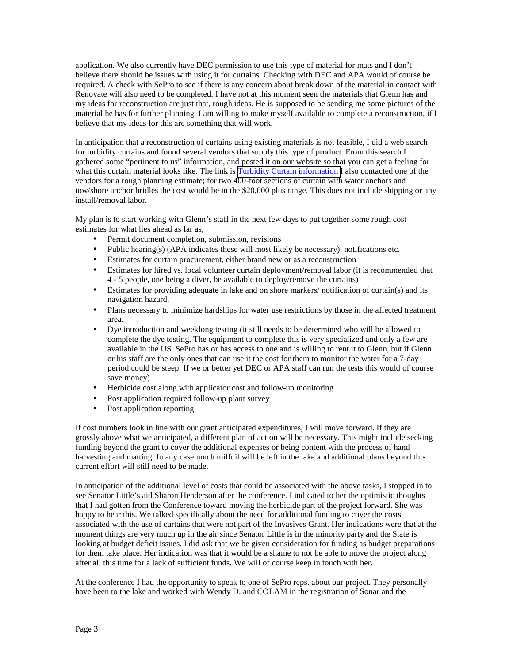application. We also currently have DEC permission to use this type of material for mats and I don't believe there should be issues with using it for curtains. Checking with DEC and APA would of course be required. A check with SePro to see if there is any concern about break down of the material in contact with Renovate will also need to be completed. I have not at this moment seen the materials that Glenn has and my ideas for reconstruction are just that, rough ideas. He is supposed to be sending me some pictures of the material he has for further planning. I am willing to make myself available to complete a reconstruction, if I believe that my ideas for this are something that will work.

In anticipation that a reconstruction of curtains using existing materials is not feasible, I did a web search for turbidity curtains and found several vendors that supply this type of product. From this search I gathered some "pertinent to us" information, and posted it on our website so that you can get a feeling for what this curtain material looks like. The link is [Turbidity Curtain information](http://www.eaglelake1.org/html/milfoil_project/curtains.shtml) I also contacted one of the vendors for a rough planning estimate; for two 400-foot sections of curtain with water anchors and tow/shore anchor bridles the cost would be in the \$20,000 plus range. This does not include shipping or any install/removal labor.

My plan is to start working with Glenn's staff in the next few days to put together some rough cost estimates for what lies ahead as far as;

- Permit document completion, submission, revisions
- Public hearing(s) (APA indicates these will most likely be necessary), notifications etc.
- Estimates for curtain procurement, either brand new or as a reconstruction
- Estimates for hired vs. local volunteer curtain deployment/removal labor (it is recommended that 4 - 5 people, one being a diver, be available to deploy/remove the curtains)
- Estimates for providing adequate in lake and on shore markers/ notification of curtain(s) and its navigation hazard.
- Plans necessary to minimize hardships for water use restrictions by those in the affected treatment area.
- Dye introduction and weeklong testing (it still needs to be determined who will be allowed to complete the dye testing. The equipment to complete this is very specialized and only a few are available in the US. SePro has or has access to one and is willing to rent it to Glenn, but if Glenn or his staff are the only ones that can use it the cost for them to monitor the water for a 7-day period could be steep. If we or better yet DEC or APA staff can run the tests this would of course save money)
- Herbicide cost along with applicator cost and follow-up monitoring
- Post application required follow-up plant survey
- Post application reporting

If cost numbers look in line with our grant anticipated expenditures, I will move forward. If they are grossly above what we anticipated, a different plan of action will be necessary. This might include seeking funding beyond the grant to cover the additional expenses or being content with the process of hand harvesting and matting. In any case much milfoil will be left in the lake and additional plans beyond this current effort will still need to be made.

In anticipation of the additional level of costs that could be associated with the above tasks, I stopped in to see Senator Little's aid Sharon Henderson after the conference. I indicated to her the optimistic thoughts that I had gotten from the Conference toward moving the herbicide part of the project forward. She was happy to hear this. We talked specifically about the need for additional funding to cover the costs associated with the use of curtains that were not part of the Invasives Grant. Her indications were that at the moment things are very much up in the air since Senator Little is in the minority party and the State is looking at budget deficit issues. I did ask that we be given consideration for funding as budget preparations for them take place. Her indication was that it would be a shame to not be able to move the project along after all this time for a lack of sufficient funds. We will of course keep in touch with her.

At the conference I had the opportunity to speak to one of SePro reps. about our project. They personally have been to the lake and worked with Wendy D. and COLAM in the registration of Sonar and the